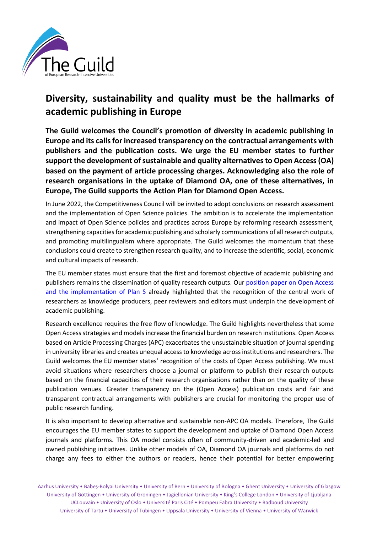

## **Diversity, sustainability and quality must be the hallmarks of academic publishing in Europe**

**The Guild welcomes the Council's promotion of diversity in academic publishing in Europe and its calls for increased transparency on the contractual arrangements with publishers and the publication costs. We urge the EU member states to further support the development of sustainable and quality alternativesto Open Access (OA) based on the payment of article processing charges. Acknowledging also the role of research organisations in the uptake of Diamond OA, one of these alternatives, in Europe, The Guild supports the Action Plan for Diamond Open Access.**

In June 2022, the Competitiveness Council will be invited to adopt conclusions on research assessment and the implementation of Open Science policies. The ambition is to accelerate the implementation and impact of Open Science policies and practices across Europe by reforming research assessment, strengthening capacities for academic publishing and scholarly communications of all research outputs, and promoting multilingualism where appropriate. The Guild welcomes the momentum that these conclusions could create to strengthen research quality, and to increase the scientific, social, economic and cultural impacts of research.

The EU member states must ensure that the first and foremost objective of academic publishing and publishers remains the dissemination of quality research outputs. Our [position paper on Open Access](https://www.the-guild.eu/publications/position-papers/the-guild-position-on-open-access-and-plan-s.pdf)  [and the implementation of Plan S](https://www.the-guild.eu/publications/position-papers/the-guild-position-on-open-access-and-plan-s.pdf) already highlighted that the recognition of the central work of researchers as knowledge producers, peer reviewers and editors must underpin the development of academic publishing.

Research excellence requires the free flow of knowledge. The Guild highlights nevertheless that some Open Access strategies and models increase the financial burden on research institutions. Open Access based on Article Processing Charges (APC) exacerbates the unsustainable situation of journal spending in university libraries and creates unequal access to knowledge across institutions and researchers. The Guild welcomes the EU member states' recognition of the costs of Open Access publishing. We must avoid situations where researchers choose a journal or platform to publish their research outputs based on the financial capacities of their research organisations rather than on the quality of these publication venues. Greater transparency on the (Open Access) publication costs and fair and transparent contractual arrangements with publishers are crucial for monitoring the proper use of public research funding.

It is also important to develop alternative and sustainable non-APC OA models. Therefore, The Guild encourages the EU member states to support the development and uptake of Diamond Open Access journals and platforms. This OA model consists often of community-driven and academic-led and owned publishing initiatives. Unlike other models of OA, Diamond OA journals and platforms do not charge any fees to either the authors or readers, hence their potential for better empowering

Aarhus University • Babeș-Bolyai University • University of Bern • University of Bologna • Ghent University • University of Glasgow University of Göttingen • University of Groningen • Jagiellonian University • King's College London • University of Ljubljana UCLouvain • University of Oslo • Université Paris Cité • Pompeu Fabra University • Radboud University University of Tartu • University of Tübingen • Uppsala University • University of Vienna • University of Warwick